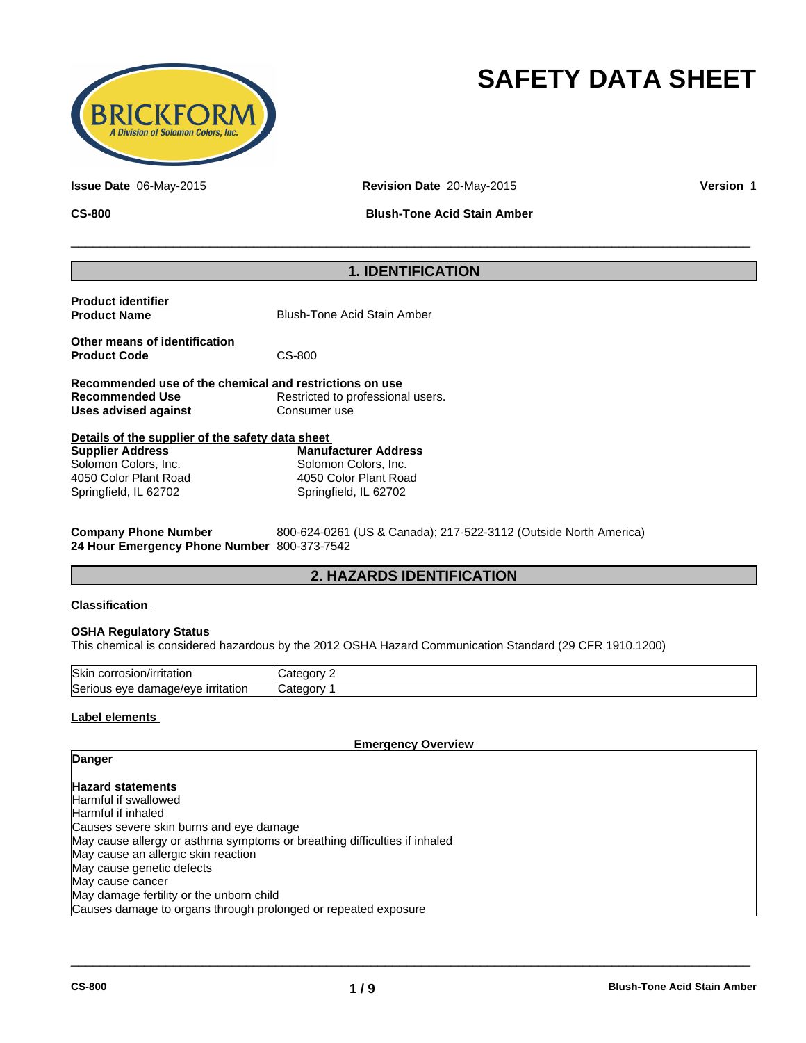

# **SAFETY DATA SHEET**

**Issue Date** 06-May-2015 **Revision Date** 20-May-2015 **Version** 1

**CS-800 Blush-Tone Acid Stain Amber**

 $\overline{\phantom{a}}$  ,  $\overline{\phantom{a}}$  ,  $\overline{\phantom{a}}$  ,  $\overline{\phantom{a}}$  ,  $\overline{\phantom{a}}$  ,  $\overline{\phantom{a}}$  ,  $\overline{\phantom{a}}$  ,  $\overline{\phantom{a}}$  ,  $\overline{\phantom{a}}$  ,  $\overline{\phantom{a}}$  ,  $\overline{\phantom{a}}$  ,  $\overline{\phantom{a}}$  ,  $\overline{\phantom{a}}$  ,  $\overline{\phantom{a}}$  ,  $\overline{\phantom{a}}$  ,  $\overline{\phantom{a}}$ 

# **1. IDENTIFICATION**

| <b>Product identifier</b><br><b>Product Name</b>        | <b>Blush-Tone Acid Stain Amber</b> |
|---------------------------------------------------------|------------------------------------|
| Other means of identification<br><b>Product Code</b>    | CS-800                             |
| Recommended use of the chemical and restrictions on use |                                    |
| Recommended Use                                         | Restricted to professional users.  |
| Uses advised against                                    | Consumer use                       |
|                                                         |                                    |

| Details of the supplier of the safety data sheet |                             |  |  |  |  |  |  |
|--------------------------------------------------|-----------------------------|--|--|--|--|--|--|
| <b>Supplier Address</b>                          | <b>Manufacturer Address</b> |  |  |  |  |  |  |
| Solomon Colors, Inc.                             | Solomon Colors, Inc.        |  |  |  |  |  |  |
| 4050 Color Plant Road                            | 4050 Color Plant Road       |  |  |  |  |  |  |
| Springfield, IL 62702                            | Springfield, IL 62702       |  |  |  |  |  |  |

**Company Phone Number** 800-624-0261 (US & Canada); 217-522-3112 (Outside North America) **24 Hour Emergency Phone Number** 800-373-7542

# **2. HAZARDS IDENTIFICATION**

#### **Classification**

#### **OSHA Regulatory Status**

This chemical is considered hazardous by the 2012 OSHA Hazard Communication Standard (29 CFR 1910.1200)

| <b>Skin</b>                                             | .                           |
|---------------------------------------------------------|-----------------------------|
| corrosion                                               | ~                           |
| n/irritatior                                            | 1 I F                       |
| Seriou<br><u>irritation</u><br>uamade/eve<br>eve<br>. . | $\sim$<br>.<br><b>ICate</b> |

### **Label elements**

**Danger**

**Emergency Overview**

 $\overline{\phantom{a}}$  ,  $\overline{\phantom{a}}$  ,  $\overline{\phantom{a}}$  ,  $\overline{\phantom{a}}$  ,  $\overline{\phantom{a}}$  ,  $\overline{\phantom{a}}$  ,  $\overline{\phantom{a}}$  ,  $\overline{\phantom{a}}$  ,  $\overline{\phantom{a}}$  ,  $\overline{\phantom{a}}$  ,  $\overline{\phantom{a}}$  ,  $\overline{\phantom{a}}$  ,  $\overline{\phantom{a}}$  ,  $\overline{\phantom{a}}$  ,  $\overline{\phantom{a}}$  ,  $\overline{\phantom{a}}$ 

**Hazard statements** Harmful if swallowed Harmful if inhaled Causes severe skin burns and eye damage May cause allergy or asthma symptoms or breathing difficulties if inhaled May cause an allergic skin reaction May cause genetic defects May cause cancer May damage fertility or the unborn child Causes damage to organs through prolonged or repeated exposure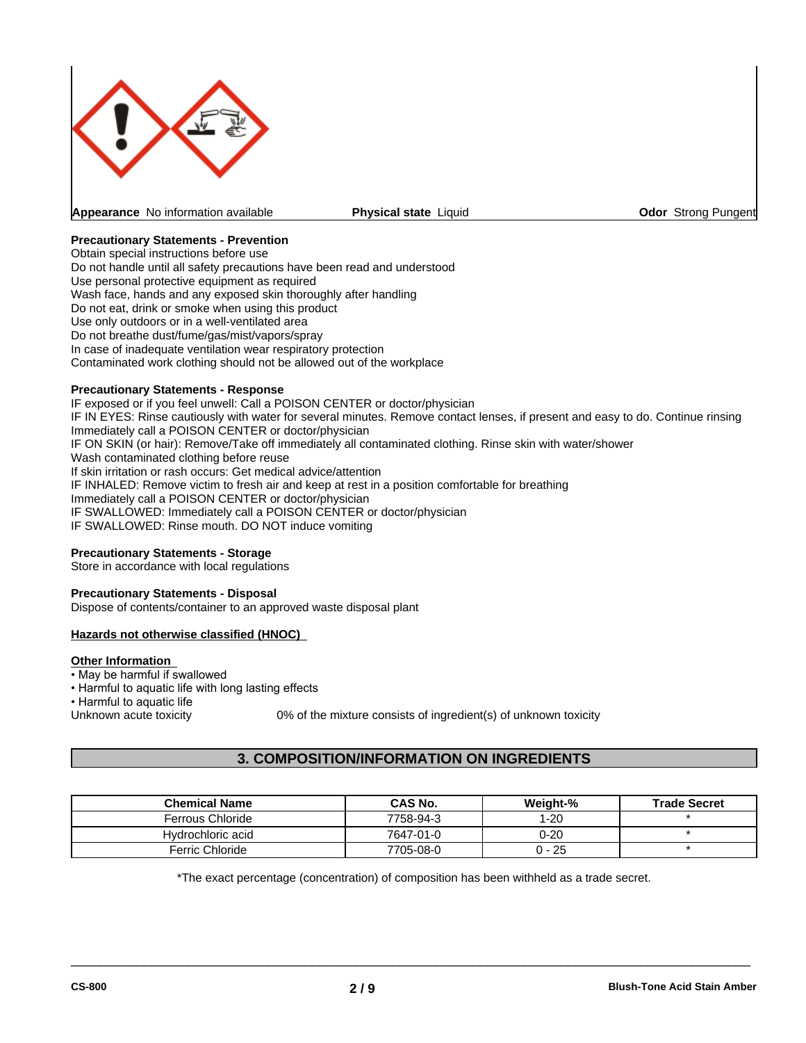

**Physical state Liquid Community Constrainers** Community Constrainers Pungent

### **Precautionary Statements - Prevention**

Obtain special instructions before use Do not handle until all safety precautions have been read and understood Use personal protective equipment as required Wash face, hands and any exposed skin thoroughly after handling Do not eat, drink or smoke when using this product Use only outdoors or in a well-ventilated area Do not breathe dust/fume/gas/mist/vapors/spray In case of inadequate ventilation wear respiratory protection Contaminated work clothing should not be allowed out of the workplace

#### **Precautionary Statements - Response**

IF exposed or if you feel unwell: Call a POISON CENTER or doctor/physician IF IN EYES: Rinse cautiously with water for several minutes. Remove contact lenses, if present and easy to do. Continue rinsing Immediately call a POISON CENTER or doctor/physician IF ON SKIN (or hair): Remove/Take off immediately all contaminated clothing. Rinse skin with water/shower Wash contaminated clothing before reuse If skin irritation or rash occurs: Get medical advice/attention IF INHALED: Remove victim to fresh air and keep at rest in a position comfortable for breathing Immediately call a POISON CENTER or doctor/physician IF SWALLOWED: Immediately call a POISON CENTER or doctor/physician IF SWALLOWED: Rinse mouth. DO NOT induce vomiting

#### **Precautionary Statements - Storage**

Store in accordance with local regulations

#### **Precautionary Statements - Disposal**

Dispose of contents/container to an approved waste disposal plant

#### **Hazards not otherwise classified (HNOC)**

#### **Other Information**

- May be harmful if swallowed
- Harmful to aquatic life with long lasting effects
- 

• Harmful to aquatic life<br>Unknown acute toxicity

0% of the mixture consists of ingredient(s) of unknown toxicity

# **3. COMPOSITION/INFORMATION ON INGREDIENTS**

| <b>Chemical Name</b>   | <b>CAS No.</b> | Weiaht-% | <b>Trade Secret</b> |
|------------------------|----------------|----------|---------------------|
| Ferrous Chloride       | 7758-94-3      | -20      |                     |
| Hydrochloric acid      | 7647-01-0      | 0-20     |                     |
| <b>Ferric Chloride</b> | 7705-08-0      | 0 - 25   |                     |

\*The exact percentage (concentration) of composition has been withheld as a trade secret.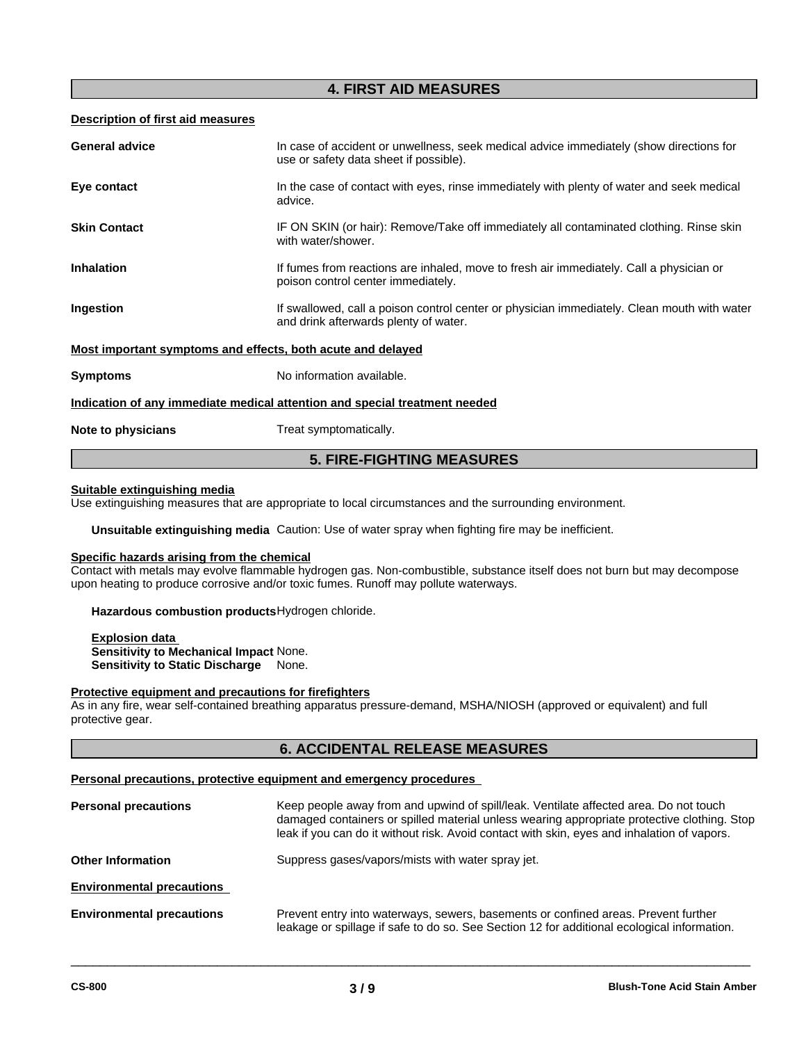# **4. FIRST AID MEASURES**

#### **Description of first aid measures**

|                                                             | <b>5. FIRE-FIGHTING MEASURES</b>                                                                                                     |
|-------------------------------------------------------------|--------------------------------------------------------------------------------------------------------------------------------------|
| Note to physicians                                          | Treat symptomatically.                                                                                                               |
|                                                             | Indication of any immediate medical attention and special treatment needed                                                           |
| <b>Symptoms</b>                                             | No information available.                                                                                                            |
| Most important symptoms and effects, both acute and delayed |                                                                                                                                      |
| Ingestion                                                   | If swallowed, call a poison control center or physician immediately. Clean mouth with water<br>and drink afterwards plenty of water. |
| <b>Inhalation</b>                                           | If fumes from reactions are inhaled, move to fresh air immediately. Call a physician or<br>poison control center immediately.        |
| <b>Skin Contact</b>                                         | IF ON SKIN (or hair): Remove/Take off immediately all contaminated clothing. Rinse skin<br>with water/shower.                        |
| Eye contact                                                 | In the case of contact with eyes, rinse immediately with plenty of water and seek medical<br>advice.                                 |
| <b>General advice</b>                                       | In case of accident or unwellness, seek medical advice immediately (show directions for<br>use or safety data sheet if possible).    |
|                                                             |                                                                                                                                      |

#### **Suitable extinguishing media**

Use extinguishing measures that are appropriate to local circumstances and the surrounding environment.

**Unsuitable extinguishing media** Caution: Use of water spray when fighting fire may be inefficient.

# **Specific hazards arising from the chemical**

Contact with metals may evolve flammable hydrogen gas. Non-combustible, substance itself does not burn but may decompose upon heating to produce corrosive and/or toxic fumes. Runoff may pollute waterways.

**Hazardous combustion products**Hydrogen chloride.

**Explosion data Sensitivity to Mechanical Impact** None. **Sensitivity to Static Discharge** None.

#### **Protective equipment and precautions for firefighters**

As in any fire, wear self-contained breathing apparatus pressure-demand, MSHA/NIOSH (approved or equivalent) and full protective gear.

# **6. ACCIDENTAL RELEASE MEASURES**

#### **Personal precautions, protective equipment and emergency procedures**

| <b>Personal precautions</b>      | Keep people away from and upwind of spill/leak. Ventilate affected area. Do not touch<br>damaged containers or spilled material unless wearing appropriate protective clothing. Stop<br>leak if you can do it without risk. Avoid contact with skin, eyes and inhalation of vapors. |  |  |  |  |  |
|----------------------------------|-------------------------------------------------------------------------------------------------------------------------------------------------------------------------------------------------------------------------------------------------------------------------------------|--|--|--|--|--|
| <b>Other Information</b>         | Suppress gases/vapors/mists with water spray jet.                                                                                                                                                                                                                                   |  |  |  |  |  |
| <b>Environmental precautions</b> |                                                                                                                                                                                                                                                                                     |  |  |  |  |  |
| <b>Environmental precautions</b> | Prevent entry into waterways, sewers, basements or confined areas. Prevent further<br>leakage or spillage if safe to do so. See Section 12 for additional ecological information.                                                                                                   |  |  |  |  |  |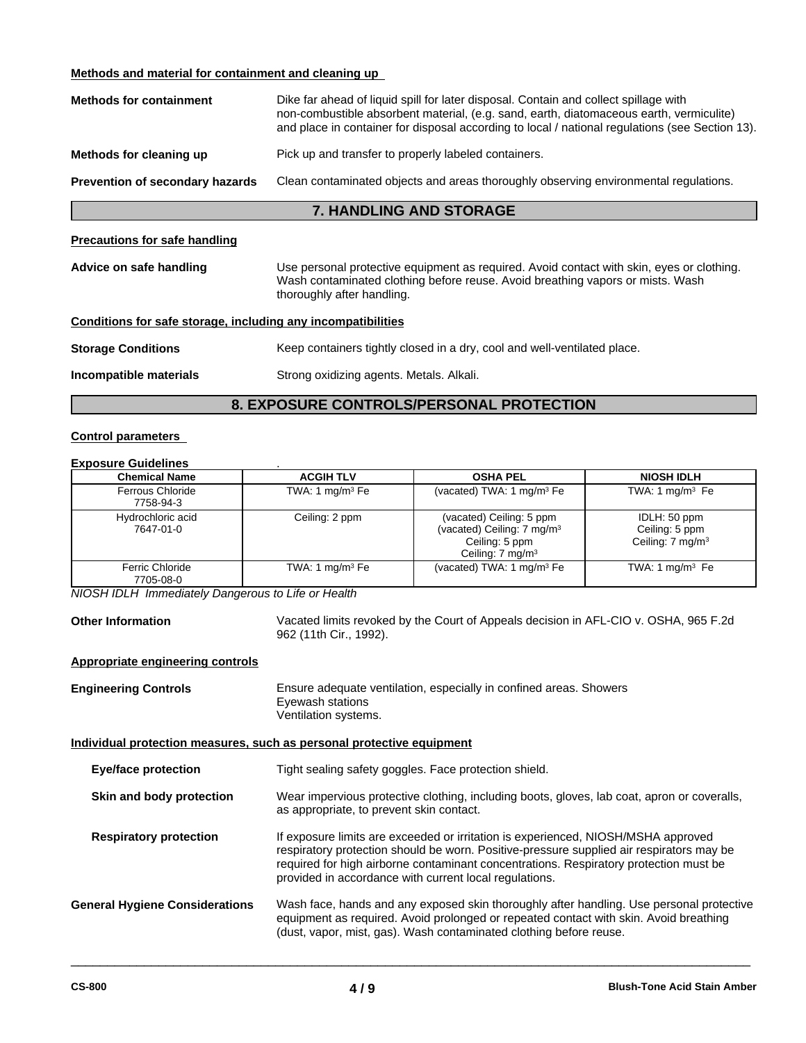### **Methods and material for containment and cleaning up**

| <b>Methods for containment</b>         | Dike far ahead of liquid spill for later disposal. Contain and collect spillage with<br>non-combustible absorbent material, (e.g. sand, earth, diatomaceous earth, vermiculite)<br>and place in container for disposal according to local / national regulations (see Section 13). |
|----------------------------------------|------------------------------------------------------------------------------------------------------------------------------------------------------------------------------------------------------------------------------------------------------------------------------------|
| Methods for cleaning up                | Pick up and transfer to properly labeled containers.                                                                                                                                                                                                                               |
| <b>Prevention of secondary hazards</b> | Clean contaminated objects and areas thoroughly observing environmental regulations.                                                                                                                                                                                               |
|                                        | <b>7. HANDLING AND STORAGE</b>                                                                                                                                                                                                                                                     |

#### **Precautions for safe handling**

| Advice on safe handling | Use personal protective equipment as required. Avoid contact with skin, eyes or clothing.<br>Wash contaminated clothing before reuse. Avoid breathing vapors or mists. Wash<br>thoroughly after handling. |
|-------------------------|-----------------------------------------------------------------------------------------------------------------------------------------------------------------------------------------------------------|
|                         |                                                                                                                                                                                                           |

| Conditions for safe storage, including any incompatibilities |  |  |  |  |  |  |  |  |  |  |  |
|--------------------------------------------------------------|--|--|--|--|--|--|--|--|--|--|--|
|                                                              |  |  |  |  |  |  |  |  |  |  |  |

| <b>Storage Conditions</b> | Keep containers tightly closed in a dry, cool and well-ventilated place. |
|---------------------------|--------------------------------------------------------------------------|
|                           |                                                                          |

**Incompatible materials** Strong oxidizing agents. Metals. Alkali.

# **8. EXPOSURE CONTROLS/PERSONAL PROTECTION**

# **Control parameters**

#### **Exposure Guidelines** .

| <b>Chemical Name</b>           | <b>ACGIH TLV</b>  | <b>OSHA PEL</b>                                                                                                      | <b>NIOSH IDLH</b>                                             |
|--------------------------------|-------------------|----------------------------------------------------------------------------------------------------------------------|---------------------------------------------------------------|
| Ferrous Chloride<br>7758-94-3  | TWA: 1 $mg/m3$ Fe | (vacated) TWA: 1 $mg/m3$ Fe                                                                                          | TWA: 1 mg/m $3$ Fe                                            |
| Hydrochloric acid<br>7647-01-0 | Ceiling: 2 ppm    | (vacated) Ceiling: 5 ppm<br>(vacated) Ceiling: 7 mg/m <sup>3</sup><br>Ceiling: 5 ppm<br>Ceiling: 7 mg/m <sup>3</sup> | IDLH: 50 ppm<br>Ceiling: 5 ppm<br>Ceiling: $7 \text{ mg/m}^3$ |
| Ferric Chloride<br>7705-08-0   | TWA: 1 $mg/m3$ Fe | (vacated) TWA: 1 $mg/m3$ Fe                                                                                          | TWA: 1 mg/m $3$ Fe                                            |

*NIOSH IDLH Immediately Dangerous to Life or Health*

**Other Information** Vacated limits revoked by the Court of Appeals decision in AFL-CIO v. OSHA, 965 F.2d 962 (11th Cir., 1992).

 $\overline{\phantom{a}}$  ,  $\overline{\phantom{a}}$  ,  $\overline{\phantom{a}}$  ,  $\overline{\phantom{a}}$  ,  $\overline{\phantom{a}}$  ,  $\overline{\phantom{a}}$  ,  $\overline{\phantom{a}}$  ,  $\overline{\phantom{a}}$  ,  $\overline{\phantom{a}}$  ,  $\overline{\phantom{a}}$  ,  $\overline{\phantom{a}}$  ,  $\overline{\phantom{a}}$  ,  $\overline{\phantom{a}}$  ,  $\overline{\phantom{a}}$  ,  $\overline{\phantom{a}}$  ,  $\overline{\phantom{a}}$ 

#### **Appropriate engineering controls**

| <b>Engineering Controls</b>           | Ensure adequate ventilation, especially in confined areas. Showers<br>Eyewash stations<br>Ventilation systems.                                                                                                                                                                                                                   |  |  |  |
|---------------------------------------|----------------------------------------------------------------------------------------------------------------------------------------------------------------------------------------------------------------------------------------------------------------------------------------------------------------------------------|--|--|--|
|                                       | Individual protection measures, such as personal protective equipment                                                                                                                                                                                                                                                            |  |  |  |
| <b>Eye/face protection</b>            | Tight sealing safety goggles. Face protection shield.                                                                                                                                                                                                                                                                            |  |  |  |
| Skin and body protection              | Wear impervious protective clothing, including boots, gloves, lab coat, apron or coveralls,<br>as appropriate, to prevent skin contact.                                                                                                                                                                                          |  |  |  |
| <b>Respiratory protection</b>         | If exposure limits are exceeded or irritation is experienced, NIOSH/MSHA approved<br>respiratory protection should be worn. Positive-pressure supplied air respirators may be<br>required for high airborne contaminant concentrations. Respiratory protection must be<br>provided in accordance with current local regulations. |  |  |  |
| <b>General Hygiene Considerations</b> | Wash face, hands and any exposed skin thoroughly after handling. Use personal protective<br>equipment as required. Avoid prolonged or repeated contact with skin. Avoid breathing<br>(dust, vapor, mist, gas). Wash contaminated clothing before reuse.                                                                          |  |  |  |
|                                       |                                                                                                                                                                                                                                                                                                                                  |  |  |  |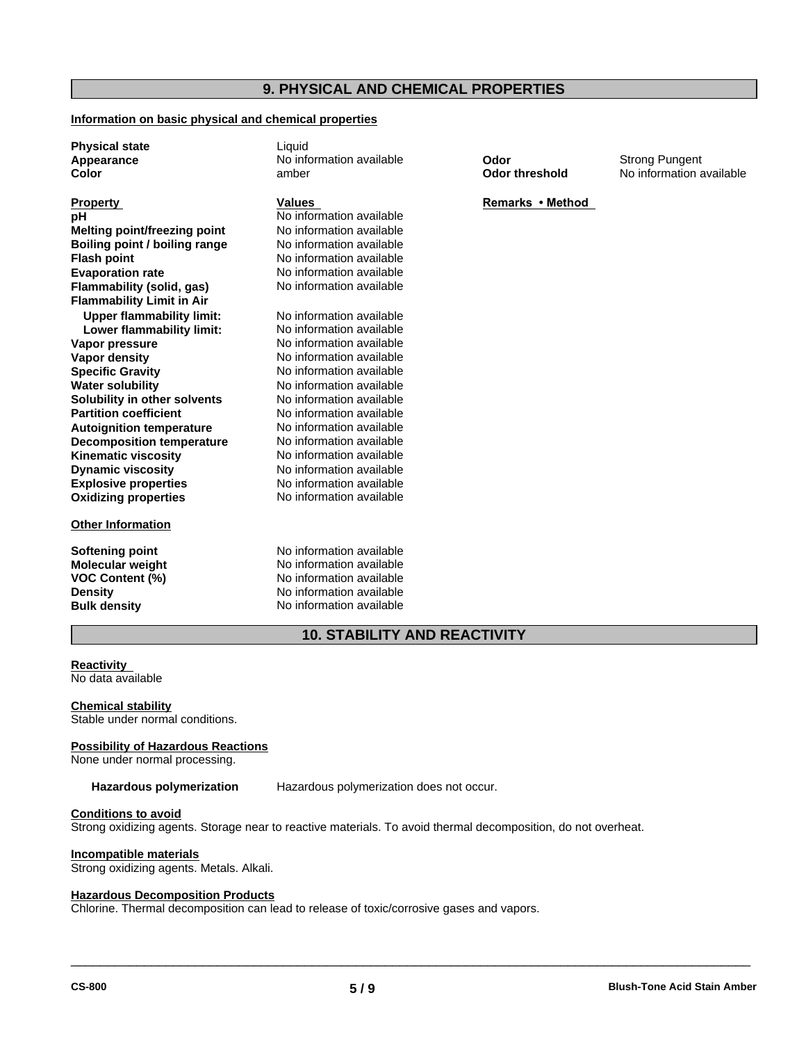# **9. PHYSICAL AND CHEMICAL PROPERTIES**

#### **Information on basic physical and chemical properties**

**Physical state** Liquid

**Explosive properties** No information available **Oxidizing properties** No information available **Melting point/freezing point** No information available **Boiling point / boiling range** No information available **Flash point**<br> **Evaporation rate**<br> **No information available**<br> **No information available Flammability (solid, gas) Flammability Limit in Air Upper flammability limit:** No information available **Lower flammability limit:** No information available **Vapor pressure** No information available **Vapor density** No information available **Specific Gravity** No information available **Water solubility** No information available **Solubility in other solvents** No information available **Partition coefficient** No information available **Autoignition temperature Decomposition temperature** No information available **Kinematic viscosity** No information available **Dynamic viscosity**

#### **Other Information**

**Molecular weight<br>VOC Content (%)** 

**Appearance No information available <b>Color Color** Strong Pungent<br> **Color Color No information a** amber **Color Color intershold** No information a

**Property**<br> **Remarks** • Method<br> **Remarks** • Method<br> **Remarks** • Method<br> **Remarks** • Method **No information available** No information available<br>No information available

> No information available No information available

**Softening point No information available**<br> **Molecular weight No information available No information available Density** No information available **Bulk density** No information available

**Color threshold** No information available

**10. STABILITY AND REACTIVITY**

### **Reactivity**

No data available

**Chemical stability** Stable under normal conditions.

#### **Possibility of Hazardous Reactions**

None under normal processing.

**Hazardous polymerization** Hazardous polymerization does not occur.

#### **Conditions to avoid**

Strong oxidizing agents. Storage near to reactive materials. To avoid thermal decomposition, do not overheat.

#### **Incompatible materials**

Strong oxidizing agents. Metals. Alkali.

#### **Hazardous Decomposition Products**

Chlorine. Thermal decomposition can lead to release of toxic/corrosive gases and vapors.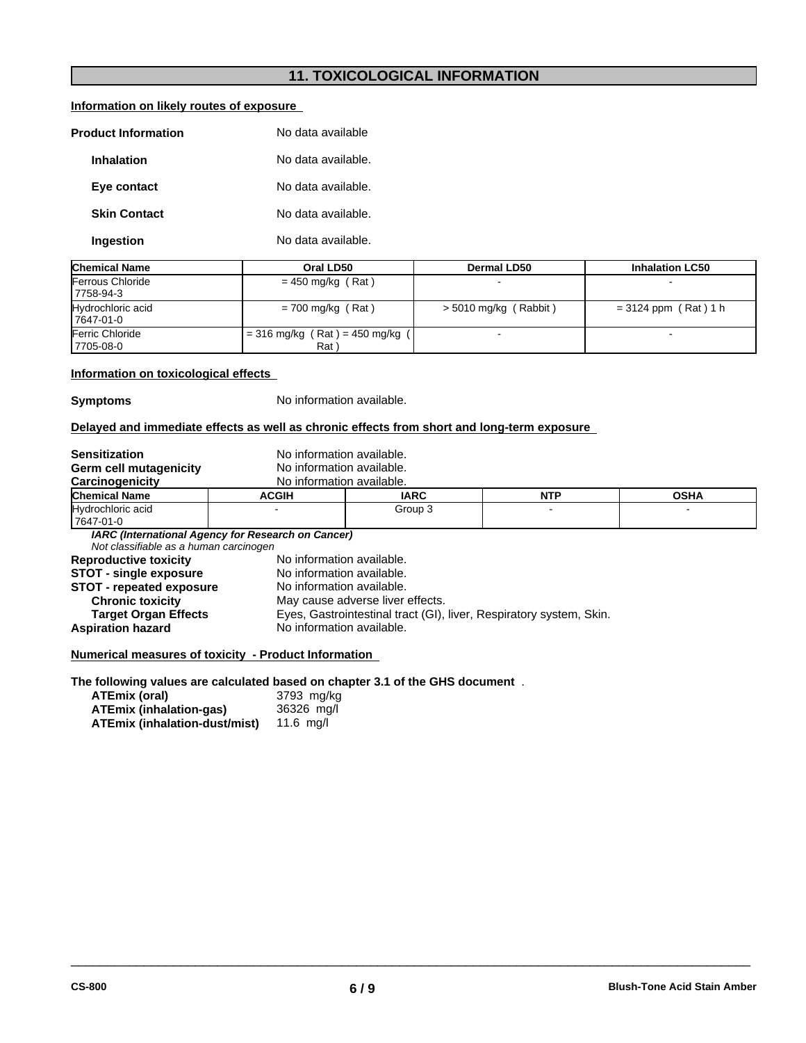# **11. TOXICOLOGICAL INFORMATION**

| Information on likely routes of exposure |  |
|------------------------------------------|--|
|                                          |  |

| <b>Product Information</b> | No data available  |
|----------------------------|--------------------|
| <b>Inhalation</b>          | No data available. |
| Eye contact                | No data available. |
| <b>Skin Contact</b>        | No data available. |
| Ingestion                  | No data available. |

| <b>Chemical Name</b>            | Oral LD50                               | Dermal LD50             | <b>Inhalation LC50</b> |
|---------------------------------|-----------------------------------------|-------------------------|------------------------|
| Ferrous Chloride<br>17758-94-3  | $= 450$ mg/kg (Rat)                     |                         |                        |
| Hydrochloric acid<br>17647-01-0 | $= 700$ mg/kg (Rat)                     | $> 5010$ mg/kg (Rabbit) | $= 3124$ ppm (Rat) 1 h |
| Ferric Chloride<br>17705-08-0   | = 316 mg/kg (Rat) = 450 mg/kg ( <br>Rat |                         |                        |

### **Information on toxicological effects**

**Symptoms** No information available.

# **Delayed and immediate effects as well as chronic effects from short and long-term exposure**

| <b>Sensitization</b>                   | No information available.                          |                                                                     |            |             |  |
|----------------------------------------|----------------------------------------------------|---------------------------------------------------------------------|------------|-------------|--|
| Germ cell mutagenicity                 | No information available.                          |                                                                     |            |             |  |
| Carcinogenicity                        | No information available.                          |                                                                     |            |             |  |
| <b>Chemical Name</b>                   | <b>ACGIH</b>                                       | <b>IARC</b>                                                         | <b>NTP</b> | <b>OSHA</b> |  |
| Hydrochloric acid                      |                                                    | Group 3                                                             |            |             |  |
| 17647-01-0                             |                                                    |                                                                     |            |             |  |
|                                        | IARC (International Agency for Research on Cancer) |                                                                     |            |             |  |
| Not classifiable as a human carcinogen |                                                    |                                                                     |            |             |  |
| <b>Reproductive toxicity</b>           | No information available.                          |                                                                     |            |             |  |
| <b>STOT - single exposure</b>          | No information available.                          |                                                                     |            |             |  |
| <b>STOT - repeated exposure</b>        | No information available.                          |                                                                     |            |             |  |
| <b>Chronic toxicity</b>                |                                                    | May cause adverse liver effects.                                    |            |             |  |
| <b>Target Organ Effects</b>            |                                                    | Eyes, Gastrointestinal tract (GI), liver, Respiratory system, Skin. |            |             |  |
| <b>Aspiration hazard</b>               | No information available.                          |                                                                     |            |             |  |
|                                        |                                                    |                                                                     |            |             |  |

### **Numerical measures of toxicity - Product Information**

# **The following values are calculated based on chapter 3.1 of the GHS document** .

| ATEmix (oral)                  | 3793 mg/kg |
|--------------------------------|------------|
| <b>ATEmix (inhalation-gas)</b> | 36326 mg/l |
| ATEmix (inhalation-dust/mist)  | 11.6 ma/l  |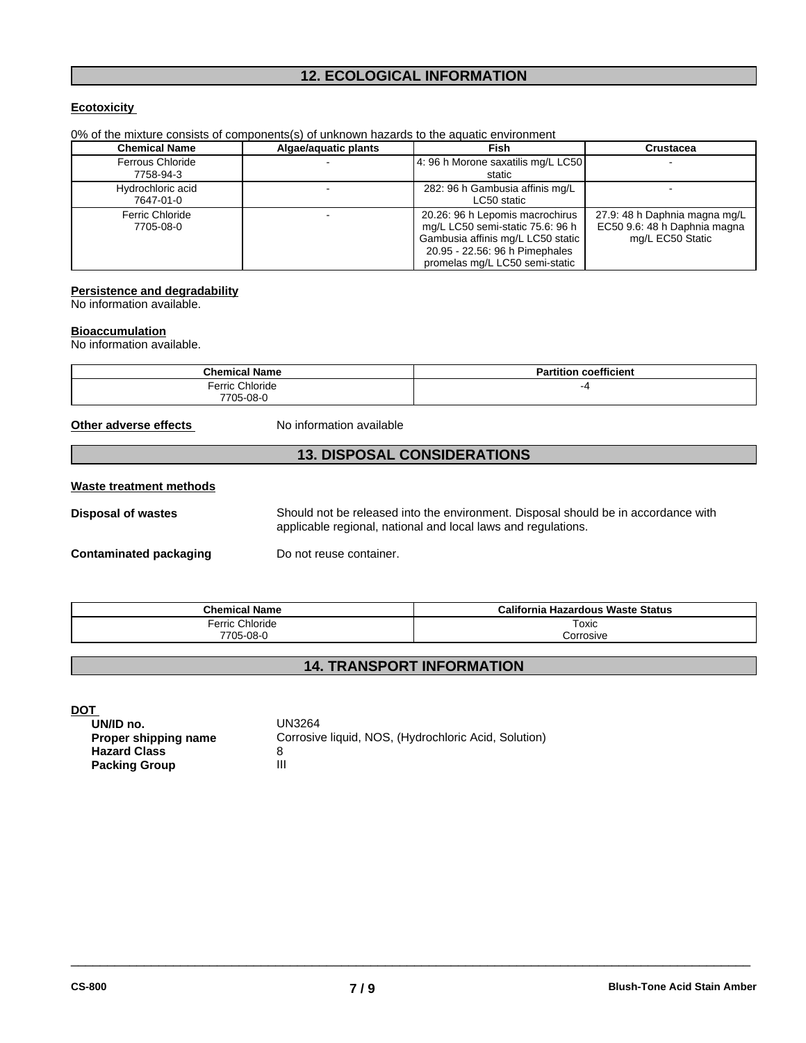# **12. ECOLOGICAL INFORMATION**

### **Ecotoxicity**

| <b>Chemical Name</b>    | Algae/aguatic plants | <b>Fish</b>                        | <b>Crustacea</b>              |
|-------------------------|----------------------|------------------------------------|-------------------------------|
| <b>Ferrous Chloride</b> |                      | 4: 96 h Morone saxatilis mq/L LC50 |                               |
| 7758-94-3               |                      | static                             |                               |
| Hydrochloric acid       |                      | 282: 96 h Gambusia affinis mg/L    |                               |
| 7647-01-0               |                      | LC50 static                        |                               |
| <b>Ferric Chloride</b>  |                      | 20.26: 96 h Lepomis macrochirus    | 27.9: 48 h Daphnia magna mg/L |
| 7705-08-0               |                      | mg/L LC50 semi-static 75.6: 96 h   | EC50 9.6: 48 h Daphnia magna  |
|                         |                      | Gambusia affinis mg/L LC50 static  | mg/L EC50 Static              |
|                         |                      | 20.95 - 22.56: 96 h Pimephales     |                               |
|                         |                      | promelas mg/L LC50 semi-static     |                               |

0% of the mixture consists of components(s) of unknown hazards to the aquatic environment

#### **Persistence and degradability**

No information available.

#### **Bioaccumulation**

No information available.

| <b>Chemical Name</b> | <b>Partition coefficient</b> |
|----------------------|------------------------------|
| Ferric Chloride      | -4                           |
| 7705-08-0            |                              |

**Other adverse effects** No information available

# **13. DISPOSAL CONSIDERATIONS**

#### **Waste treatment methods**

**Disposal of wastes** Should not be released into the environment. Disposal should be in accordance with applicable regional, national and local laws and regulations.

 $\overline{\phantom{a}}$  ,  $\overline{\phantom{a}}$  ,  $\overline{\phantom{a}}$  ,  $\overline{\phantom{a}}$  ,  $\overline{\phantom{a}}$  ,  $\overline{\phantom{a}}$  ,  $\overline{\phantom{a}}$  ,  $\overline{\phantom{a}}$  ,  $\overline{\phantom{a}}$  ,  $\overline{\phantom{a}}$  ,  $\overline{\phantom{a}}$  ,  $\overline{\phantom{a}}$  ,  $\overline{\phantom{a}}$  ,  $\overline{\phantom{a}}$  ,  $\overline{\phantom{a}}$  ,  $\overline{\phantom{a}}$ 

**Contaminated packaging** Do not reuse container.

| <b>Chemical Name</b>      | California<br>a Hazardous Waste Status |
|---------------------------|----------------------------------------|
| <b>Phlorido</b><br>Ferric | Toxic                                  |
| 7705-08-0                 | orrosive                               |

# **14. TRANSPORT INFORMATION**

**DOT** 

| UN/ID no.            | UN3264                                               |
|----------------------|------------------------------------------------------|
| Proper shipping name | Corrosive liquid, NOS, (Hydrochloric Acid, Solution) |
| <b>Hazard Class</b>  |                                                      |
| <b>Packing Group</b> |                                                      |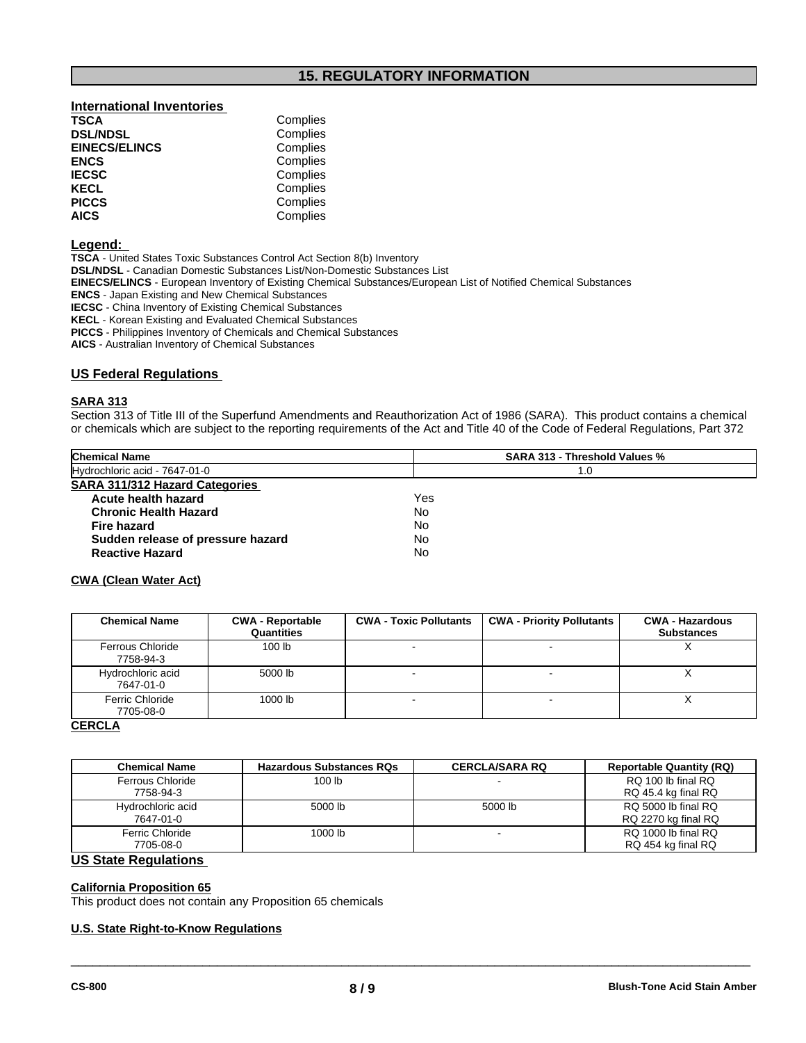# **15. REGULATORY INFORMATION**

# **International Inventories TSCA** Complies<br> **DSL/NDSL** Complies

| <b>EINECS/ELINCS</b> | Complies |  |
|----------------------|----------|--|
| <b>ENCS</b>          | Complies |  |
| <b>IECSC</b>         | Complies |  |
| <b>KECL</b>          | Complies |  |
| <b>PICCS</b>         | Complies |  |
| <b>AICS</b>          | Complies |  |

#### **Legend:**

**TSCA** - United States Toxic Substances Control Act Section 8(b) Inventory

**DSL/NDSL** - Canadian Domestic Substances List/Non-Domestic Substances List

**Complies** 

**EINECS/ELINCS** - European Inventory of Existing Chemical Substances/European List of Notified Chemical Substances

**ENCS** - Japan Existing and New Chemical Substances

**IECSC** - China Inventory of Existing Chemical Substances

**KECL** - Korean Existing and Evaluated Chemical Substances

**PICCS** - Philippines Inventory of Chemicals and Chemical Substances

**AICS** - Australian Inventory of Chemical Substances

#### **US Federal Regulations**

### **SARA 313**

Section 313 of Title III of the Superfund Amendments and Reauthorization Act of 1986 (SARA). This product contains a chemical or chemicals which are subject to the reporting requirements of the Act and Title 40 of the Code of Federal Regulations, Part 372

| <b>Chemical Name</b>              | <b>SARA 313 - Threshold Values %</b> |  |
|-----------------------------------|--------------------------------------|--|
| Hydrochloric acid - 7647-01-0     | 1.0                                  |  |
| SARA 311/312 Hazard Categories    |                                      |  |
| Acute health hazard               | Yes                                  |  |
| <b>Chronic Health Hazard</b>      | No                                   |  |
| Fire hazard                       | No                                   |  |
| Sudden release of pressure hazard | No                                   |  |
| <b>Reactive Hazard</b>            | No                                   |  |

#### **CWA (Clean Water Act)**

| <b>CWA - Reportable</b><br>Quantities | <b>CWA - Toxic Pollutants</b> | <b>CWA - Priority Pollutants</b> | <b>CWA - Hazardous</b><br><b>Substances</b> |
|---------------------------------------|-------------------------------|----------------------------------|---------------------------------------------|
| 100 <sub>lb</sub>                     |                               |                                  | $\lambda$                                   |
| 5000 lb                               |                               |                                  | ⌒                                           |
| 1000 lb                               |                               |                                  |                                             |
|                                       |                               |                                  |                                             |

#### **CERCLA**

| <b>Chemical Name</b> | <b>Hazardous Substances RQs</b> | <b>CERCLA/SARA RQ</b> | <b>Reportable Quantity (RQ)</b> |
|----------------------|---------------------------------|-----------------------|---------------------------------|
| Ferrous Chloride     | 100 <sub>lb</sub>               |                       | RQ 100 lb final RQ              |
| 7758-94-3            |                                 |                       | RQ 45.4 kg final RQ             |
| Hydrochloric acid    | 5000 lb                         | 5000 lb               | RQ 5000 lb final RQ             |
| 7647-01-0            |                                 |                       | RQ 2270 kg final RQ             |
| Ferric Chloride      | 1000 lb                         |                       | RQ 1000 lb final RQ             |
| 7705-08-0            |                                 |                       | RQ 454 kg final RQ              |

 $\overline{\phantom{a}}$  ,  $\overline{\phantom{a}}$  ,  $\overline{\phantom{a}}$  ,  $\overline{\phantom{a}}$  ,  $\overline{\phantom{a}}$  ,  $\overline{\phantom{a}}$  ,  $\overline{\phantom{a}}$  ,  $\overline{\phantom{a}}$  ,  $\overline{\phantom{a}}$  ,  $\overline{\phantom{a}}$  ,  $\overline{\phantom{a}}$  ,  $\overline{\phantom{a}}$  ,  $\overline{\phantom{a}}$  ,  $\overline{\phantom{a}}$  ,  $\overline{\phantom{a}}$  ,  $\overline{\phantom{a}}$ 

### **US State Regulations**

#### **California Proposition 65**

This product does not contain any Proposition 65 chemicals

#### **U.S. State Right-to-Know Regulations**